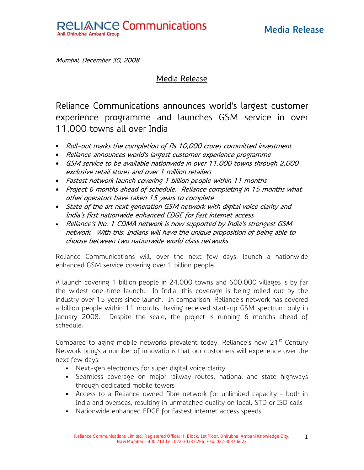

Mumbai, December 30, 2008

Media Release

Reliance Communications announces world's largest customer experience programme and launches GSM service in over 11,000 towns all over India

- Roll-out marks the completion of Rs 10,000 crores committed investment
- Reliance announces world's largest customer experience programme
- GSM service to be available nationwide in over 11,000 towns through 2,000 exclusive retail stores and over 1 million retailers
- Fastest network launch covering 1 billion people within 11 months
- Project 6 months ahead of schedule. Reliance completing in 15 months what other operators have taken 15 years to complete
- State of the art next generation GSM network with digital voice clarity and India's first nationwide enhanced EDGE for fast internet access
- Reliance's No. 1 CDMA network is now supported by India's strongest GSM network. With this, Indians will have the unique proposition of being able to choose between two nationwide world class networks

Reliance Communications will, over the next few days, launch a nationwide enhanced GSM service covering over 1 billion people.

A launch covering 1 billion people in 24,000 towns and 600,000 villages is by far the widest one-time launch. In India, this coverage is being rolled out by the industry over 15 years since launch. In comparison, Reliance's network has covered a billion people within 11 months, having received start-up GSM spectrum only in January 2008. Despite the scale, the project is running 6 months ahead of schedule.

Compared to aging mobile networks prevalent today, Reliance's new 21<sup>st</sup> Century Network brings a number of innovations that our customers will experience over the next few days:

- Next-gen electronics for super digital voice clarity
- Seamless coverage on major railway routes, national and state highways through dedicated mobile towers
- Access to a Reliance owned fibre network for unlimited capacity both in India and overseas, resulting in unmatched quality on local, STD or ISD calls
- Nationwide enhanced EDGE for fastest internet access speeds